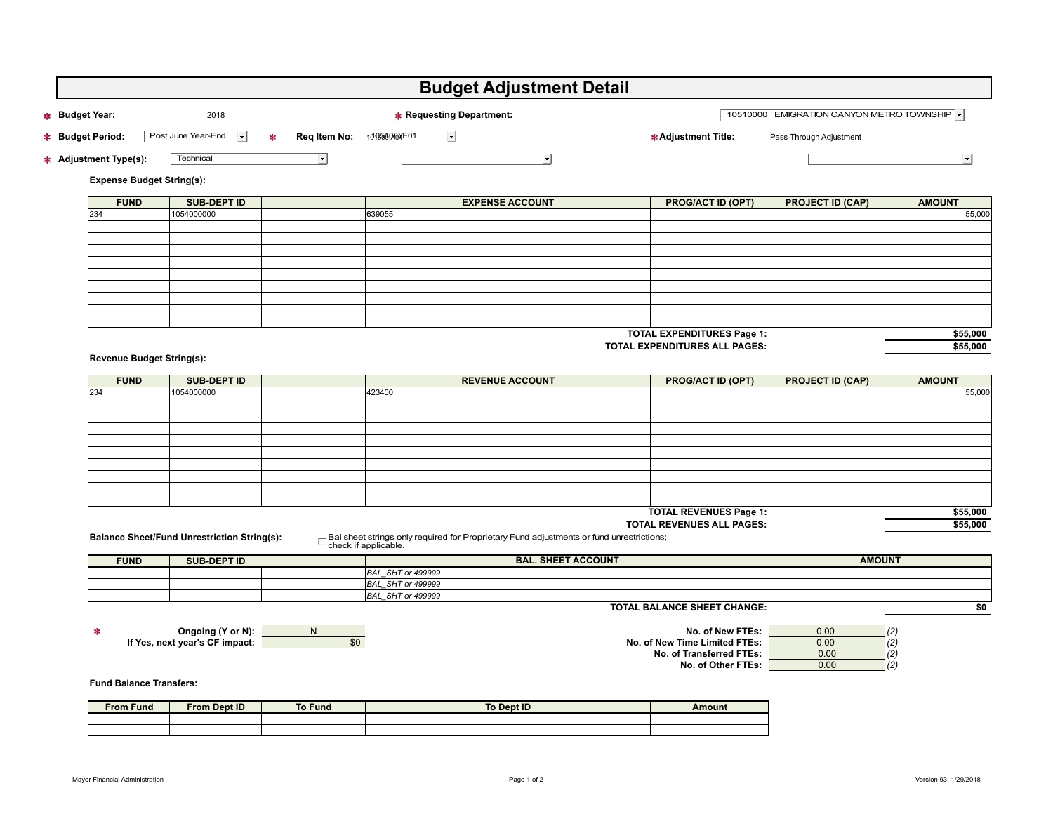| * Budget Year:<br>* Budget Period:<br>* Adjustment Type(s):<br><b>Expense Budget String(s):</b> | 2018<br>Post June Year-End<br>۰<br>Technical       | Reg Item No:<br>∗     | <b>* Requesting Department:</b>                                                                 |                                    | 10510000 EMIGRATION CANYON METRO TOWNSHIP |                      |
|-------------------------------------------------------------------------------------------------|----------------------------------------------------|-----------------------|-------------------------------------------------------------------------------------------------|------------------------------------|-------------------------------------------|----------------------|
|                                                                                                 |                                                    |                       |                                                                                                 |                                    |                                           |                      |
|                                                                                                 |                                                    |                       | 10185000XE01<br>$\vert \cdot \vert$                                                             | * Adjustment Title:                | Pass Through Adjustment                   |                      |
|                                                                                                 |                                                    | $\blacktriangleright$ | ᅬ                                                                                               |                                    |                                           | $ \cdot $            |
|                                                                                                 |                                                    |                       |                                                                                                 |                                    |                                           |                      |
| <b>FUND</b>                                                                                     | <b>SUB-DEPT ID</b>                                 |                       | <b>EXPENSE ACCOUNT</b>                                                                          | <b>PROG/ACT ID (OPT)</b>           | <b>PROJECT ID (CAP)</b>                   | <b>AMOUNT</b>        |
| 234                                                                                             | 1054000000                                         |                       | 639055                                                                                          |                                    |                                           | 55,000               |
|                                                                                                 |                                                    |                       |                                                                                                 |                                    |                                           |                      |
|                                                                                                 |                                                    |                       |                                                                                                 |                                    |                                           |                      |
|                                                                                                 |                                                    |                       |                                                                                                 |                                    |                                           |                      |
|                                                                                                 |                                                    |                       |                                                                                                 |                                    |                                           |                      |
|                                                                                                 |                                                    |                       |                                                                                                 |                                    |                                           |                      |
|                                                                                                 |                                                    |                       |                                                                                                 |                                    |                                           |                      |
|                                                                                                 |                                                    |                       |                                                                                                 |                                    |                                           |                      |
| <b>TOTAL EXPENDITURES Page 1:</b><br>TOTAL EXPENDITURES ALL PAGES:                              |                                                    |                       |                                                                                                 |                                    |                                           | \$55,000<br>\$55,000 |
| <b>Revenue Budget String(s):</b>                                                                |                                                    |                       |                                                                                                 |                                    |                                           |                      |
| <b>FUND</b>                                                                                     | <b>SUB-DEPT ID</b>                                 |                       | <b>REVENUE ACCOUNT</b>                                                                          | <b>PROG/ACT ID (OPT)</b>           | <b>PROJECT ID (CAP)</b>                   | <b>AMOUNT</b>        |
| 234                                                                                             | 1054000000                                         |                       | 423400                                                                                          |                                    |                                           | 55,000               |
|                                                                                                 |                                                    |                       |                                                                                                 |                                    |                                           |                      |
|                                                                                                 |                                                    |                       |                                                                                                 |                                    |                                           |                      |
|                                                                                                 |                                                    |                       |                                                                                                 |                                    |                                           |                      |
|                                                                                                 |                                                    |                       |                                                                                                 |                                    |                                           |                      |
|                                                                                                 |                                                    |                       |                                                                                                 |                                    |                                           |                      |
|                                                                                                 |                                                    |                       |                                                                                                 |                                    |                                           |                      |
|                                                                                                 |                                                    |                       |                                                                                                 |                                    |                                           |                      |
|                                                                                                 |                                                    |                       |                                                                                                 | <b>TOTAL REVENUES Page 1:</b>      |                                           | \$55,000             |
|                                                                                                 |                                                    |                       | $\Box$ Bal sheet strings only required for Proprietary Fund adjustments or fund unrestrictions; | TOTAL REVENUES ALL PAGES:          |                                           | \$55,000             |
|                                                                                                 | <b>Balance Sheet/Fund Unrestriction String(s):</b> |                       | check if applicable.                                                                            |                                    |                                           |                      |
| <b>FUND</b>                                                                                     | <b>SUB-DEPT ID</b>                                 |                       | <b>BAL. SHEET ACCOUNT</b>                                                                       |                                    | <b>AMOUNT</b>                             |                      |
|                                                                                                 |                                                    |                       | <b>BAL_SHT</b> or 499999<br><b>BAL_SHT</b> or 499999                                            |                                    |                                           |                      |
|                                                                                                 |                                                    |                       | BAL_SHT or 499999                                                                               |                                    |                                           |                      |
|                                                                                                 |                                                    |                       |                                                                                                 | <b>TOTAL BALANCE SHEET CHANGE:</b> |                                           | 50                   |
| $\ast$                                                                                          |                                                    |                       |                                                                                                 | No. of New FTEs:                   | 0.00                                      | (2)                  |
| Ongoing (Y or N):<br>N,<br>If Yes, next year's CF impact:<br>\$0                                |                                                    |                       | No. of New Time Limited FTEs:                                                                   |                                    | 0.00                                      | (2)                  |
|                                                                                                 |                                                    |                       | No. of Transferred FTEs:                                                                        |                                    | 0.00                                      | (2)                  |
|                                                                                                 |                                                    |                       |                                                                                                 | No. of Other FTEs:                 | 0.00                                      | (2)                  |
| <b>Fund Balance Transfers:</b>                                                                  |                                                    |                       |                                                                                                 |                                    |                                           |                      |
| <b>From Fund</b>                                                                                | <b>From Dept ID</b>                                | <b>To Fund</b>        | To Dept ID                                                                                      | Amount                             |                                           |                      |
|                                                                                                 |                                                    |                       |                                                                                                 |                                    |                                           |                      |
|                                                                                                 |                                                    |                       |                                                                                                 |                                    |                                           |                      |